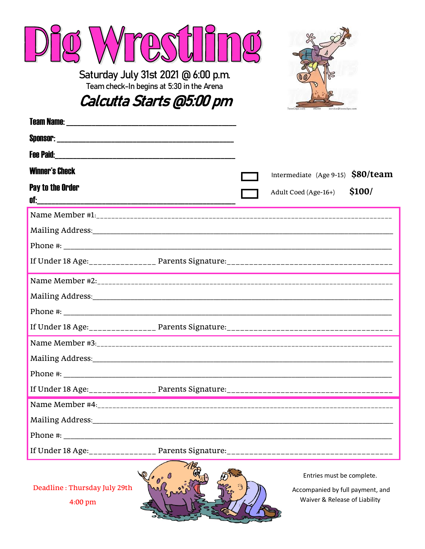